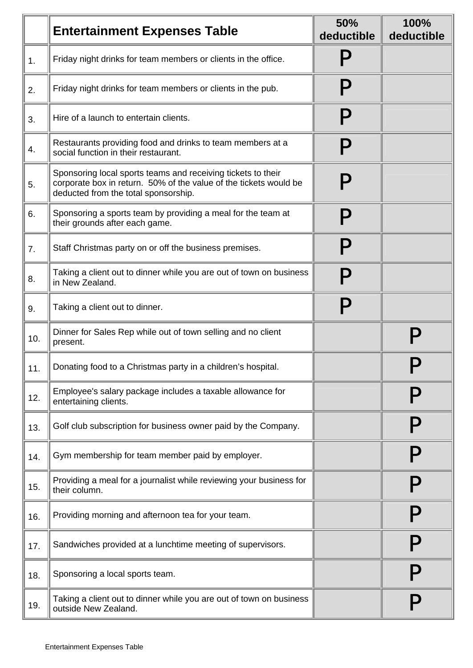|     | <b>Entertainment Expenses Table</b>                                                                                                                                       | <b>50%</b><br>deductible  | 100%<br>deductible |
|-----|---------------------------------------------------------------------------------------------------------------------------------------------------------------------------|---------------------------|--------------------|
| 1.  | Friday night drinks for team members or clients in the office.                                                                                                            |                           |                    |
| 2.  | Friday night drinks for team members or clients in the pub.                                                                                                               | $\boldsymbol{\mathsf{P}}$ |                    |
| 3.  | Hire of a launch to entertain clients.                                                                                                                                    | Р                         |                    |
| 4.  | Restaurants providing food and drinks to team members at a<br>social function in their restaurant.                                                                        | $\mathsf P$               |                    |
| 5.  | Sponsoring local sports teams and receiving tickets to their<br>corporate box in return. 50% of the value of the tickets would be<br>deducted from the total sponsorship. |                           |                    |
| 6.  | Sponsoring a sports team by providing a meal for the team at<br>their grounds after each game.                                                                            | P                         |                    |
| 7.  | Staff Christmas party on or off the business premises.                                                                                                                    | P                         |                    |
| 8.  | Taking a client out to dinner while you are out of town on business<br>in New Zealand.                                                                                    |                           |                    |
| 9.  | Taking a client out to dinner.                                                                                                                                            | $\mathsf P$               |                    |
| 10. | Dinner for Sales Rep while out of town selling and no client<br>present.                                                                                                  |                           |                    |
| 11. | Donating food to a Christmas party in a children's hospital.                                                                                                              |                           |                    |
| 12. | Employee's salary package includes a taxable allowance for<br>entertaining clients.                                                                                       |                           |                    |
| 13. | Golf club subscription for business owner paid by the Company.                                                                                                            |                           |                    |
| 14. | Gym membership for team member paid by employer.                                                                                                                          |                           |                    |
| 15. | Providing a meal for a journalist while reviewing your business for<br>their column.                                                                                      |                           |                    |
| 16. | Providing morning and afternoon tea for your team.                                                                                                                        |                           |                    |
| 17. | Sandwiches provided at a lunchtime meeting of supervisors.                                                                                                                |                           |                    |
| 18. | Sponsoring a local sports team.                                                                                                                                           |                           |                    |
| 19. | Taking a client out to dinner while you are out of town on business<br>outside New Zealand.                                                                               |                           |                    |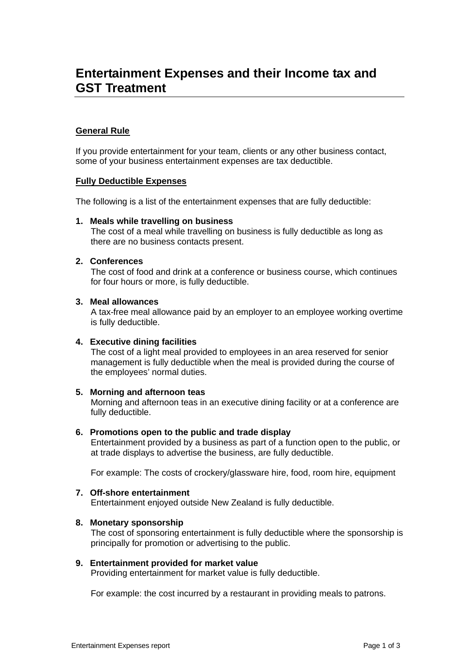# **Entertainment Expenses and their Income tax and GST Treatment**

# **General Rule**

If you provide entertainment for your team, clients or any other business contact, some of your business entertainment expenses are tax deductible.

# **Fully Deductible Expenses**

The following is a list of the entertainment expenses that are fully deductible:

#### **1. Meals while travelling on business**

The cost of a meal while travelling on business is fully deductible as long as there are no business contacts present.

# **2. Conferences**

The cost of food and drink at a conference or business course, which continues for four hours or more, is fully deductible.

# **3. Meal allowances**

A tax-free meal allowance paid by an employer to an employee working overtime is fully deductible.

#### **4. Executive dining facilities**

The cost of a light meal provided to employees in an area reserved for senior management is fully deductible when the meal is provided during the course of the employees' normal duties.

#### **5. Morning and afternoon teas**

Morning and afternoon teas in an executive dining facility or at a conference are fully deductible.

#### **6. Promotions open to the public and trade display**

Entertainment provided by a business as part of a function open to the public, or at trade displays to advertise the business, are fully deductible.

For example: The costs of crockery/glassware hire, food, room hire, equipment

#### **7. Off-shore entertainment**

Entertainment enjoyed outside New Zealand is fully deductible.

#### **8. Monetary sponsorship**

The cost of sponsoring entertainment is fully deductible where the sponsorship is principally for promotion or advertising to the public.

#### **9. Entertainment provided for market value**

Providing entertainment for market value is fully deductible.

For example: the cost incurred by a restaurant in providing meals to patrons.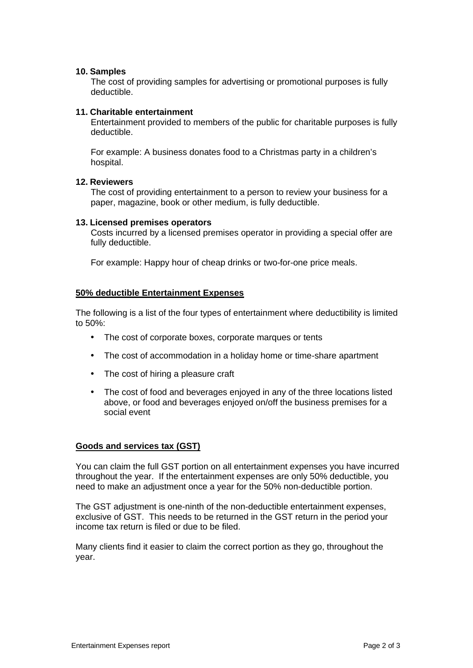# **10. Samples**

The cost of providing samples for advertising or promotional purposes is fully deductible.

#### **11. Charitable entertainment**

Entertainment provided to members of the public for charitable purposes is fully deductible.

For example: A business donates food to a Christmas party in a children's hospital.

# **12. Reviewers**

The cost of providing entertainment to a person to review your business for a paper, magazine, book or other medium, is fully deductible.

#### **13. Licensed premises operators**

Costs incurred by a licensed premises operator in providing a special offer are fully deductible.

For example: Happy hour of cheap drinks or two-for-one price meals.

# **50% deductible Entertainment Expenses**

The following is a list of the four types of entertainment where deductibility is limited to 50%:

- The cost of corporate boxes, corporate marques or tents
- The cost of accommodation in a holiday home or time-share apartment
- The cost of hiring a pleasure craft
- The cost of food and beverages enjoyed in any of the three locations listed above, or food and beverages enjoyed on/off the business premises for a social event

#### **Goods and services tax (GST)**

You can claim the full GST portion on all entertainment expenses you have incurred throughout the year. If the entertainment expenses are only 50% deductible, you need to make an adjustment once a year for the 50% non-deductible portion.

The GST adjustment is one-ninth of the non-deductible entertainment expenses, exclusive of GST. This needs to be returned in the GST return in the period your income tax return is filed or due to be filed.

Many clients find it easier to claim the correct portion as they go, throughout the year.